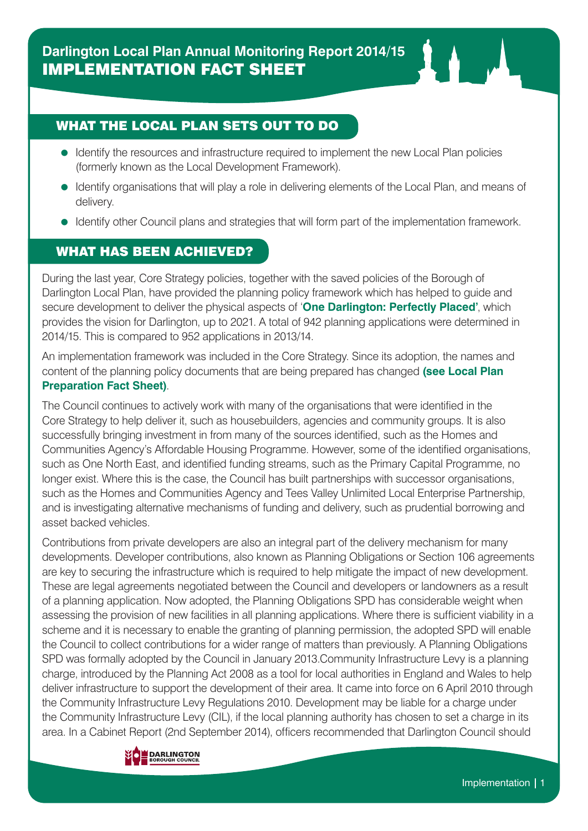## WHAT THE LOCAL PLAN SETS OUT TO DO

- Identify the resources and infrastructure required to implement the new Local Plan policies (formerly known as the Local Development Framework).
- = Identify organisations that will play a role in delivering elements of the Local Plan, and means of delivery.
- Identify other Council plans and strategies that will form part of the implementation framework.

## WHAT HAS BEEN ACHIEVED?

During the last year, Core Strategy policies, together with the saved policies of the Borough of Darlington Local Plan, have provided the planning policy framework which has helped to guide and secure development to deliver the physical aspects of '**One Darlington: Perfectly Placed'**, which provides the vision for Darlington, up to 2021. A total of 942 planning applications were determined in 2014/15. This is compared to 952 applications in 2013/14.

An implementation framework was included in the Core Strategy. Since its adoption, the names and content of the planning policy documents that are being prepared has changed **(see Local Plan Preparation Fact Sheet)**.

The Council continues to actively work with many of the organisations that were identified in the Core Strategy to help deliver it, such as housebuilders, agencies and community groups. It is also successfully bringing investment in from many of the sources identified, such as the Homes and Communities Agency's Affordable Housing Programme. However, some of the identified organisations, such as One North East, and identified funding streams, such as the Primary Capital Programme, no longer exist. Where this is the case, the Council has built partnerships with successor organisations, such as the Homes and Communities Agency and Tees Valley Unlimited Local Enterprise Partnership, and is investigating alternative mechanisms of funding and delivery, such as prudential borrowing and asset backed vehicles.

Contributions from private developers are also an integral part of the delivery mechanism for many developments. Developer contributions, also known as Planning Obligations or Section 106 agreements are key to securing the infrastructure which is required to help mitigate the impact of new development. These are legal agreements negotiated between the Council and developers or landowners as a result of a planning application. Now adopted, the Planning Obligations SPD has considerable weight when assessing the provision of new facilities in all planning applications. Where there is sufficient viability in a scheme and it is necessary to enable the granting of planning permission, the adopted SPD will enable the Council to collect contributions for a wider range of matters than previously. A Planning Obligations SPD was formally adopted by the Council in January 2013.Community Infrastructure Levy is a planning charge, introduced by the Planning Act 2008 as a tool for local authorities in England and Wales to help deliver infrastructure to support the development of their area. It came into force on 6 April 2010 through the Community Infrastructure Levy Regulations 2010. Development may be liable for a charge under the Community Infrastructure Levy (CIL), if the local planning authority has chosen to set a charge in its area. In a Cabinet Report (2nd September 2014), officers recommended that Darlington Council should